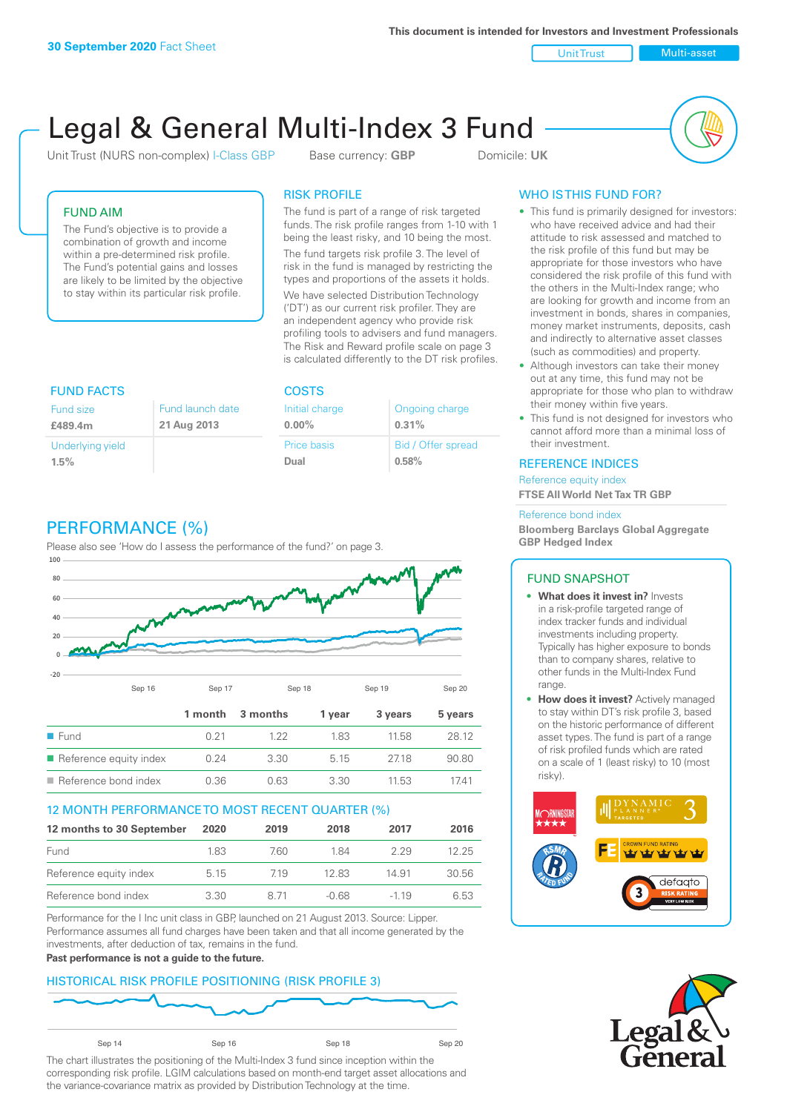**This document is intended for Investors and Investment Professionals**

Unit Trust Nulti-asset

# Legal & General Multi-Index 3 Fund

Unit Trust (NURS non-complex) I-Class GBP Base currency: **GBP** Domicile: UK



## FUND AIM

The Fund's objective is to provide a combination of growth and income within a pre-determined risk profile. The Fund's potential gains and losses are likely to be limited by the objective to stay within its particular risk profile.

## RISK PROFILE

**COSTS** 

Initial charge **0.00%**

Price basis **Dual**

The fund is part of a range of risk targeted funds. The risk profile ranges from 1-10 with 1 being the least risky, and 10 being the most.

The fund targets risk profile 3. The level of risk in the fund is managed by restricting the types and proportions of the assets it holds. We have selected Distribution Technology ('DT') as our current risk profiler. They are an independent agency who provide risk profiling tools to advisers and fund managers. The Risk and Reward profile scale on page 3 is calculated differently to the DT risk profiles.

Ongoing charge

Bid / Offer spread

**0.31%**

**0.58%**

| <b>FUND FACTS</b> |                  |
|-------------------|------------------|
| Fund size         | Fund launch date |
| £489.4m           | 21 Aug 2013      |
| Underlying yield  |                  |
| 1.5%              |                  |

# PERFORMANCE (%)

Please also see 'How do I assess the performance of the fund?' on page 3.



#### 12 MONTH PERFORMANCE TO MOST RECENT QUARTER (%)

| 12 months to 30 September | 2020 | 2019  | 2018  | 2017   | 2016  |
|---------------------------|------|-------|-------|--------|-------|
| Fund                      | 183  | 760.  | 184   | 229    | 12 25 |
| Reference equity index    | 5.15 | 719   | 12.83 | 14.91  | 30.56 |
| Reference bond index      | 3.30 | 8 7 1 | -0.68 | $-119$ | 6.53  |

Performance for the I Inc unit class in GBP, launched on 21 August 2013. Source: Lipper. Performance assumes all fund charges have been taken and that all income generated by the investments, after deduction of tax, remains in the fund.

#### **Past performance is not a guide to the future.**

#### HISTORICAL RISK PROFILE POSITIONING (RISK PROFILE 3)



The chart illustrates the positioning of the Multi-Index 3 fund since inception within the corresponding risk profile. LGIM calculations based on month-end target asset allocations and the variance-covariance matrix as provided by Distribution Technology at the time.

# WHO IS THIS FUND FOR?

- This fund is primarily designed for investors: who have received advice and had their attitude to risk assessed and matched to the risk profile of this fund but may be appropriate for those investors who have considered the risk profile of this fund with the others in the Multi-Index range; who are looking for growth and income from an investment in bonds, shares in companies, money market instruments, deposits, cash and indirectly to alternative asset classes (such as commodities) and property.
- Although investors can take their money out at any time, this fund may not be appropriate for those who plan to withdraw their money within five years.
- This fund is not designed for investors who cannot afford more than a minimal loss of their investment.

#### REFERENCE INDICES

Reference equity index **FTSE All World Net Tax TR GBP**

#### Reference bond index

**Bloomberg Barclays Global Aggregate GBP Hedged Index**

#### FUND SNAPSHOT

- **• What does it invest in?** Invests in a risk-profile targeted range of index tracker funds and individual investments including property. Typically has higher exposure to bonds than to company shares, relative to other funds in the Multi-Index Fund range.
- **• How does it invest?** Actively managed to stay within DT's risk profile 3, based on the historic performance of different asset types. The fund is part of a range of risk profiled funds which are rated on a scale of 1 (least risky) to 10 (most risky).



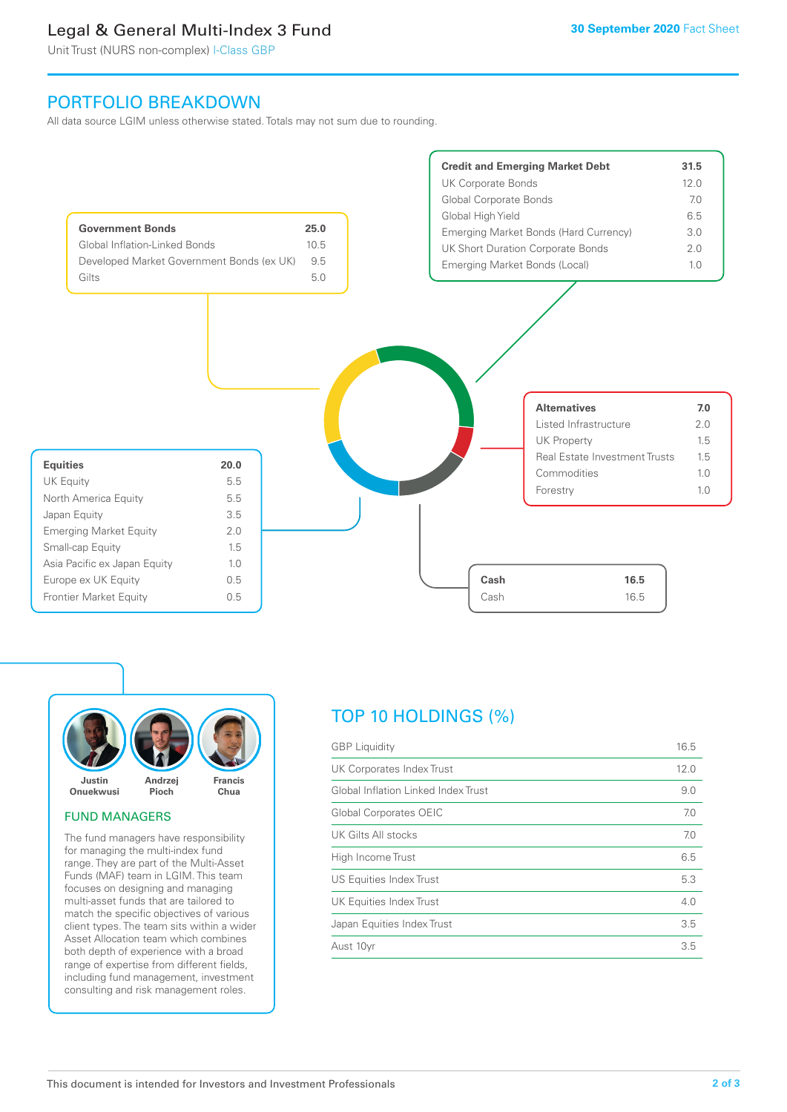# Legal & General Multi-Index 3 Fund

Unit Trust (NURS non-complex) I-Class GBP

# PORTFOLIO BREAKDOWN

All data source LGIM unless otherwise stated. Totals may not sum due to rounding.





#### FUND MANAGERS

The fund managers have responsibility for managing the multi-index fund range. They are part of the Multi-Asset Funds (MAF) team in LGIM. This team focuses on designing and managing multi-asset funds that are tailored to match the specific objectives of various client types. The team sits within a wider Asset Allocation team which combines both depth of experience with a broad range of expertise from different fields, including fund management, investment consulting and risk management roles.

# TOP 10 HOLDINGS (%)

| <b>GBP</b> Liquidity                | 16.5 |
|-------------------------------------|------|
| UK Corporates Index Trust           | 12.0 |
| Global Inflation Linked Index Trust | 9.0  |
| Global Corporates OEIC              | 7.0  |
| UK Gilts All stocks                 | 7.0  |
| High Income Trust                   | 6.5  |
| US Equities Index Trust             | 5.3  |
| UK Equities Index Trust             | 4.0  |
| Japan Equities Index Trust          | 3.5  |
| Aust 10yr                           | 3.5  |
|                                     |      |